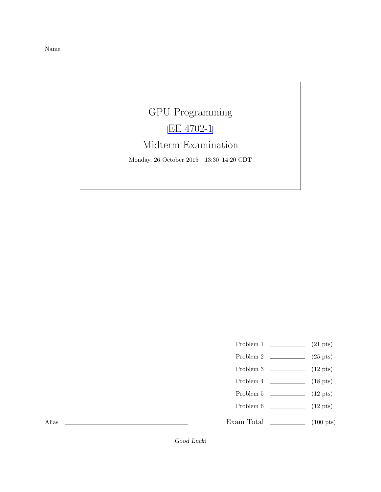Name

## GPU Programming [EE 4702-1](http://www.ece.lsu.edu/koppel/gpup/) Midterm Examination Monday, 26 October 2015 13:30–14:20 CDT

- Problem 1  $\qquad \qquad (21 \text{ pts})$
- Problem 2  $\qquad \qquad$  (25 pts)
- Problem 3  $\qquad \qquad$  (12 pts)
- Problem 4 (18 pts)
- Problem 5  $\qquad \qquad$  (12 pts)
- Problem  $6 \t\t(12 \text{ pts})$
- Exam Total  $\qquad \qquad$  (100 pts)

Alias

Good Luck!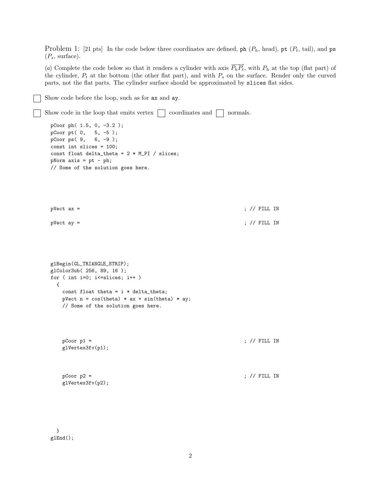Problem 1: [21 pts] In the code below three coordinates are defined, ph  $(P_h, \text{head})$ , pt  $(P_t, \text{tail})$ , and ps  $(P_s, \text{ surface}).$ 

(a) Complete the code below so that it renders a cylinder with axis  $\overrightarrow{P_hP_t}$ , with  $P_h$  at the top (flat part) of the cylinder,  $P_t$  at the bottom (the other flat part), and with  $P_s$  on the surface. Render only the curved parts, not the flat parts. The cylinder surface should be approximated by slices flat sides.

```
Show code before the loop, such as for ax and ay.
```

```
Show code in the loop that emits vertex \Box coordinates and \Box normals.
 pCoor ph( 1.5, 0, -3.2 );
 pCoor pt( 0, 5, -5 );
 pCoor ps( 9, 6, -9 );
 const int slices = 100;
 const float delta_theta = 2 * M_PI / slices;pNorm axis = pt - ph;
 // Some of the solution goes here.
 pVect ax = ; // FILL IN
 pVect \, \, a \, y \, = \, 3glBegin(GL_TRIANGLE_STRIP);
 glColor3ub( 256, 89, 16 );
 for ( int i=0; i<=slices; i++ )
   {
    const float theta = i * delta_{i}pVect n = \cos(theta) * ax + \sin(theta) * ay;// Some of the solution goes here.
    pCoor p1 =; // FILL IN
    glVertex3fv(p1);
    pCoor p2 = ; // FILL IN
    glVertex3fv(p2);
```
} glEnd();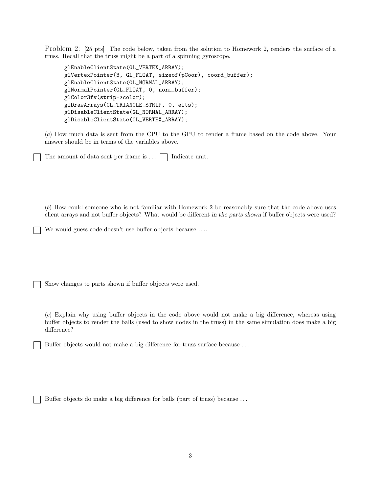Problem 2: [25 pts] The code below, taken from the solution to Homework 2, renders the surface of a truss. Recall that the truss might be a part of a spinning gyroscope.

```
glEnableClientState(GL_VERTEX_ARRAY);
glVertexPointer(3, GL_FLOAT, sizeof(pCoor), coord_buffer);
glEnableClientState(GL_NORMAL_ARRAY);
glNormalPointer(GL_FLOAT, 0, norm_buffer);
glColor3fv(strip->color);
glDrawArrays(GL_TRIANGLE_STRIP, 0, elts);
glDisableClientState(GL_NORMAL_ARRAY);
glDisableClientState(GL_VERTEX_ARRAY);
```
(a) How much data is sent from the CPU to the GPU to render a frame based on the code above. Your answer should be in terms of the variables above.

The amount of data sent per frame is  $\ldots$   $\Box$  Indicate unit.

(b) How could someone who is not familiar with Homework 2 be reasonably sure that the code above uses client arrays and not buffer objects? What would be different in the parts shown if buffer objects were used?

We would guess code doesn't use buffer objects because ....

Show changes to parts shown if buffer objects were used.

(c) Explain why using buffer objects in the code above would not make a big difference, whereas using buffer objects to render the balls (used to show nodes in the truss) in the same simulation does make a big difference?

Buffer objects would not make a big difference for truss surface because . . .

Buffer objects do make a big difference for balls (part of truss) because . . .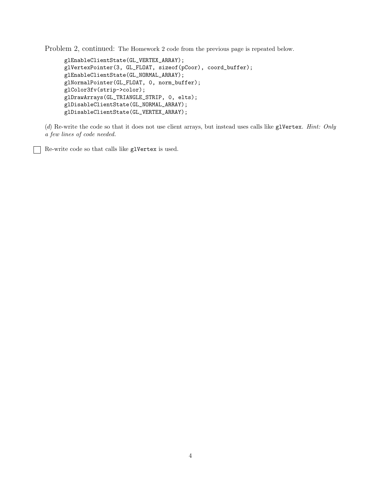Problem 2, continued: The Homework 2 code from the previous page is repeated below.

```
glEnableClientState(GL_VERTEX_ARRAY);
glVertexPointer(3, GL_FLOAT, sizeof(pCoor), coord_buffer);
glEnableClientState(GL_NORMAL_ARRAY);
glNormalPointer(GL_FLOAT, 0, norm_buffer);
glColor3fv(strip->color);
glDrawArrays(GL_TRIANGLE_STRIP, 0, elts);
glDisableClientState(GL_NORMAL_ARRAY);
glDisableClientState(GL_VERTEX_ARRAY);
```
(d) Re-write the code so that it does not use client arrays, but instead uses calls like glVertex. Hint: Only a few lines of code needed.

Re-write code so that calls like glVertex is used.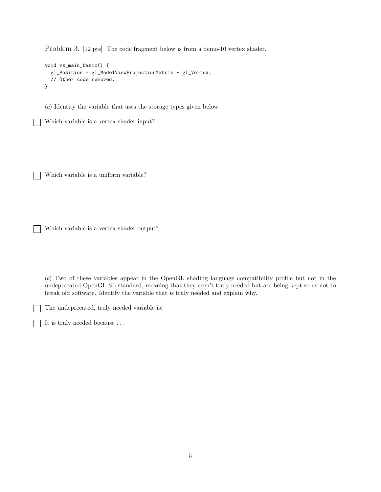Problem 3: [12 pts] The code fragment below is from a demo-10 vertex shader.

```
void vs_main_basic() {
 gl_Position = gl_ModelViewProjectionMatrix * gl_Vertex;
  // Other code removed.
}
```
(a) Identity the variable that uses the storage types given below.

Which variable is a vertex shader input?

Which variable is a uniform variable?

Which variable is a vertex shader output?

(b) Two of these variables appear in the OpenGL shading language compatibility profile but not in the undeprecated OpenGL SL standard, meaning that they aren't truly needed but are being kept so as not to break old software. Identify the variable that is truly needed and explain why.

The undeprecated, truly needed variable is:

It is truly needed because . . .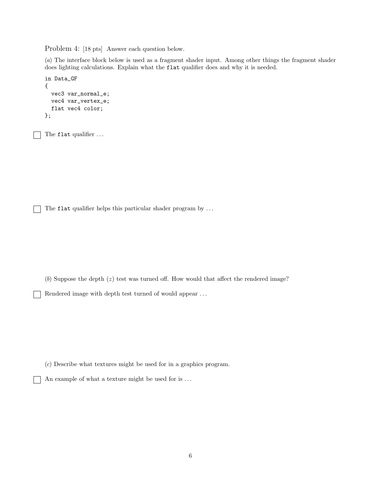Problem 4: [18 pts] Answer each question below.

(a) The interface block below is used as a fragment shader input. Among other things the fragment shader does lighting calculations. Explain what the flat qualifier does and why it is needed.

```
in Data_GF
{
  vec3 var_normal_e;
  vec4 var_vertex_e;
  flat vec4 color;
};
```
The flat qualifier ...

 $\mathbf{I}$ 

The flat qualifier helps this particular shader program by ...

 $(b)$  Suppose the depth  $(z)$  test was turned off. How would that affect the rendered image?

Rendered image with depth test turned of would appear . . .

(c) Describe what textures might be used for in a graphics program.

An example of what a texture might be used for is  $\ldots$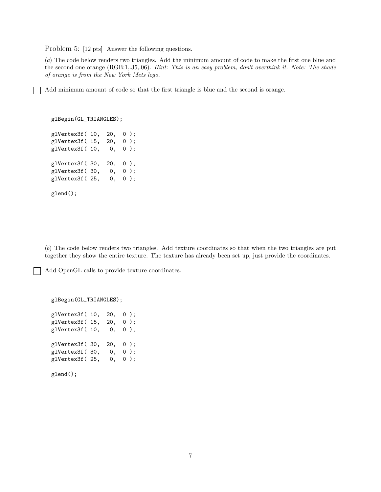Problem 5: [12 pts] Answer the following questions.

(a) The code below renders two triangles. Add the minimum amount of code to make the first one blue and the second one orange (RGB:1,.35,.06). Hint: This is an easy problem, don't overthink it. Note: The shade of orange is from the New York Mets logo.

Add minimum amount of code so that the first triangle is blue and the second is orange.

glBegin(GL\_TRIANGLES); glVertex3f( 10, 20, 0 ); glVertex3f( 15, 20, 0 ); glVertex3f( 10, 0, 0 ); glVertex3f( 30, 20, 0 ); glVertex3f( 30, 0, 0 ); glVertex3f( 25, 0, 0 ); glend();

(b) The code below renders two triangles. Add texture coordinates so that when the two triangles are put together they show the entire texture. The texture has already been set up, just provide the coordinates.

Add OpenGL calls to provide texture coordinates.

glBegin(GL\_TRIANGLES);

glVertex3f( 10, 20, 0 ); glVertex3f( 15, 20, 0 ); glVertex3f( 10, 0, 0 ); glVertex3f( 30, 20, 0 ); glVertex3f( 30, 0, 0 ); glVertex3f( 25, 0, 0 ); glend();